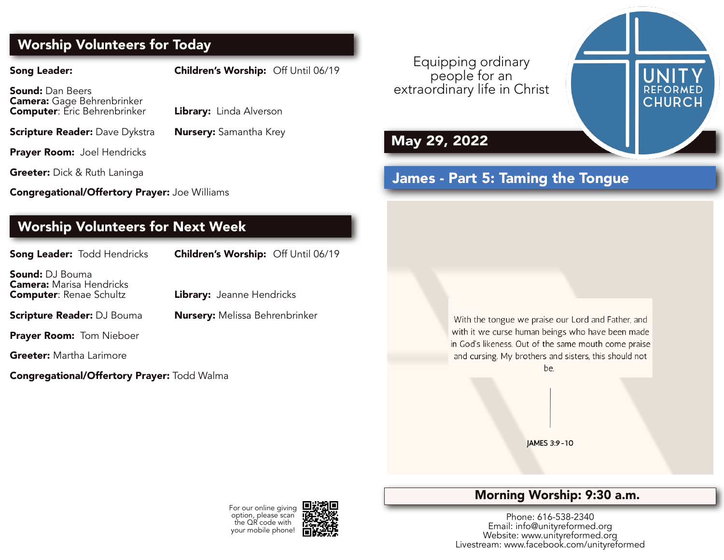# **Worship Volunteers for Today**

**Song Leader: Children's Worship:** Off Until 06/19

**Sound:** Dan Beers **Camera:** Gage Behrenbrinker **Computer**: Eric Behrenbrinker **Library:** Linda Alverson

**Scripture Reader:** Dave Dykstra **Nursery:** Samantha Krey

**Prayer Room:** Joel Hendricks

**Greeter:** Dick & Ruth Laninga

**Congregational/Offertory Prayer:** Joe Williams

# **Worship Volunteers for Next Week**

| <b>Song Leader: Todd Hendricks</b>                                                    | Children's Worship: Off Until 06/19   |
|---------------------------------------------------------------------------------------|---------------------------------------|
| Sound: DJ Bouma<br><b>Camera:</b> Marisa Hendricks<br><b>Computer</b> : Renae Schultz | <b>Library:</b> Jeanne Hendricks      |
| Scripture Reader: DJ Bouma                                                            | <b>Nursery:</b> Melissa Behrenbrinker |
| Prayer Room: Tom Nieboer                                                              |                                       |
|                                                                                       |                                       |

**Greeter:** Martha Larimore

**Congregational/Offertory Prayer:** Todd Walma

Equipping ordinary people for an extraordinary life in Christ

# **May 29, 2022**

# James - Part 5: Taming the Tongue

With the tongue we praise our Lord and Father, and with it we curse human beings who have been made in God's likeness. Out of the same mouth come praise and cursing. My brothers and sisters, this should not be

JAMES 3:9-10

# **Morning Worship: 9:30 a.m.**

Phone: 616-538-2340 Email: info@unityreformed.org Website: www.unityreformed.org Livestream: www.facebook.com/unityreformed

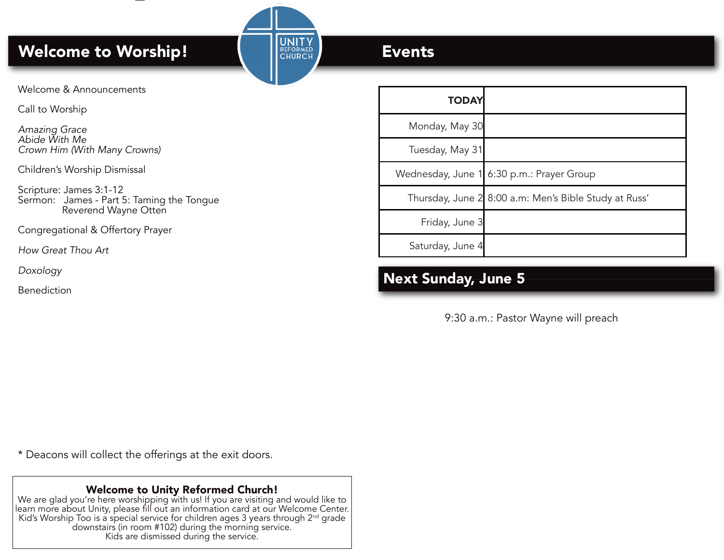# **Welcome to Worship! Events**

Welcome & Announcements

Call to Worship

*Amazing Grace Abide With Me Crown Him (With Many Crowns)*

Children's Worship Dismissal

Scripture: James 3:1-12 Sermon: James - Part 5: Taming the Tongue Reverend Wayne Otten

Congregational & Offertory Prayer

*How Great Thou Art*

*Doxology*

Benediction

| <b>TODAY</b>     |                                                       |
|------------------|-------------------------------------------------------|
| Monday, May 30   |                                                       |
| Tuesday, May 31  |                                                       |
|                  | Wednesday, June 1 6:30 p.m.: Prayer Group             |
|                  | Thursday, June 2 8:00 a.m: Men's Bible Study at Russ' |
| Friday, June 3   |                                                       |
| Saturday, June 4 |                                                       |

# **Next Sunday, June 5**

9:30 a.m.: Pastor Wayne will preach

\* Deacons will collect the offerings at the exit doors.

# **Welcome to Unity Reformed Church!**

We are glad you're here worshipping with us! If you are visiting and would like to learn more about Unity, please fill out an information card at our Welcome Center. Kid's Worship Too is a special service for children ages 3 years through  $2^{nd}$  grade downstairs (in room #102) during the morning service. Kids are dismissed during the service.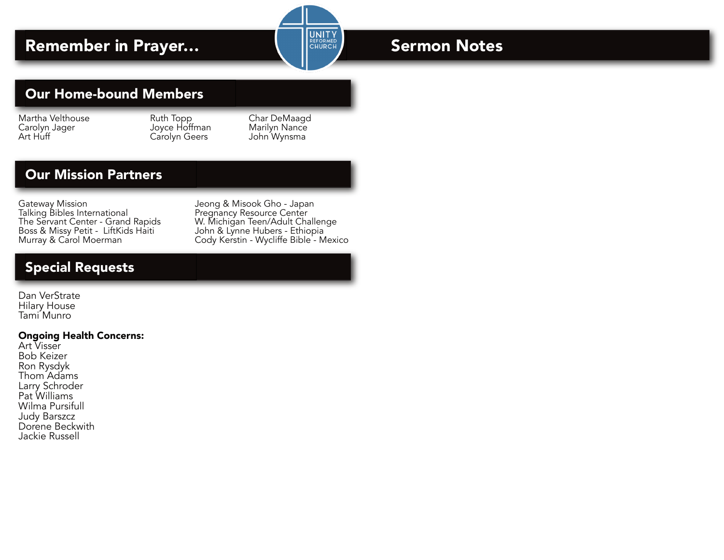# **Remember in Prayer… Sermon Notes**

# **Our Home-bound Members**

Martha Velthouse Ruth Topp Char DeMaagd Carolyn Jager Joyce Hoffman Marilyn Nance Art Huff Carolyn Geers John Wynsma

# **Our Mission Partners**

Gateway Mission<br>Talking Bibles International Talking Bibles International Pregnancy Resource Center Talking Bibles International<br>The Servant Center - Grand Rapids The Servant Center - Grand Rapids W. Michigan Teen/Adult Challenge<br>Boss & Missy Petit - LiftKids Haiti John & Lynne Hubers - Ethiopia Boss & Missy Petit - LiftKids Haiti John & Lynne Hubers - Ethiopia<br>Murray & Carol Moerman Cody Kerstin - Wycliffe Bible - M

Cody Kerstin - Wycliffe Bible - Mexico

# **Special Requests**

Dan VerStrate Hilary House Tami Munro

#### **Ongoing Health Concerns:**

Art Visser Bob Keizer Ron Rysdyk Thom Adams Larry Schroder Pat Williams Wilma Pursifull Judy Barszcz Dorene Beckwith Jackie Russell